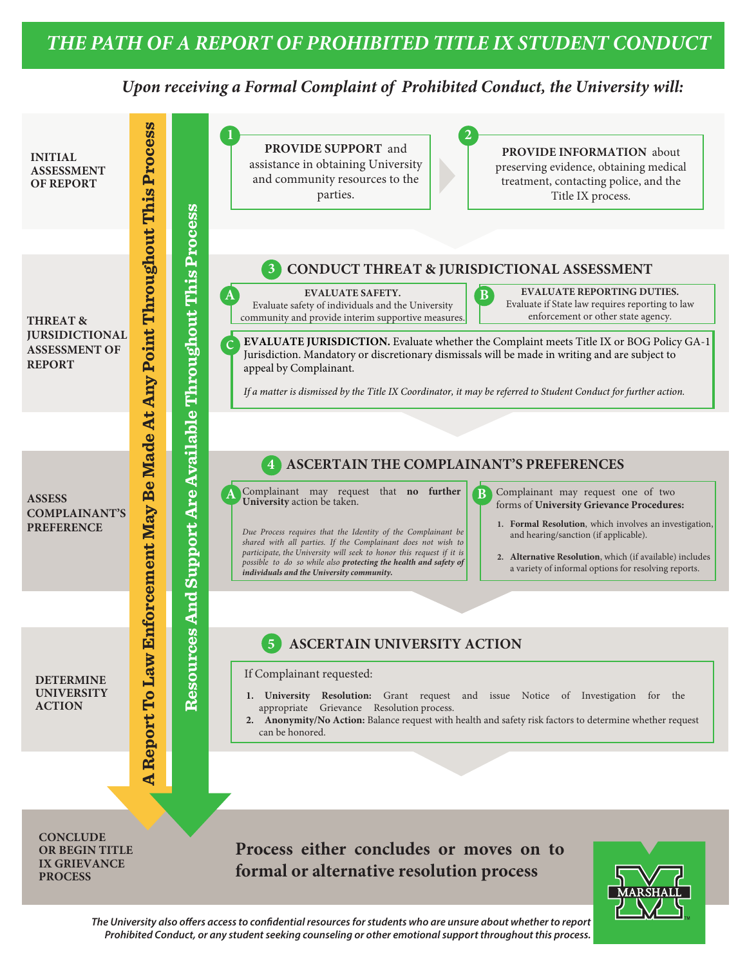## *Upon receiving a Formal Complaint of Prohibited Conduct, the University will:*



*The University also offers access to confidential resources for students who are unsure about whether to report Prohibited Conduct, or any student seeking counseling or other emotional support throughout this process.*